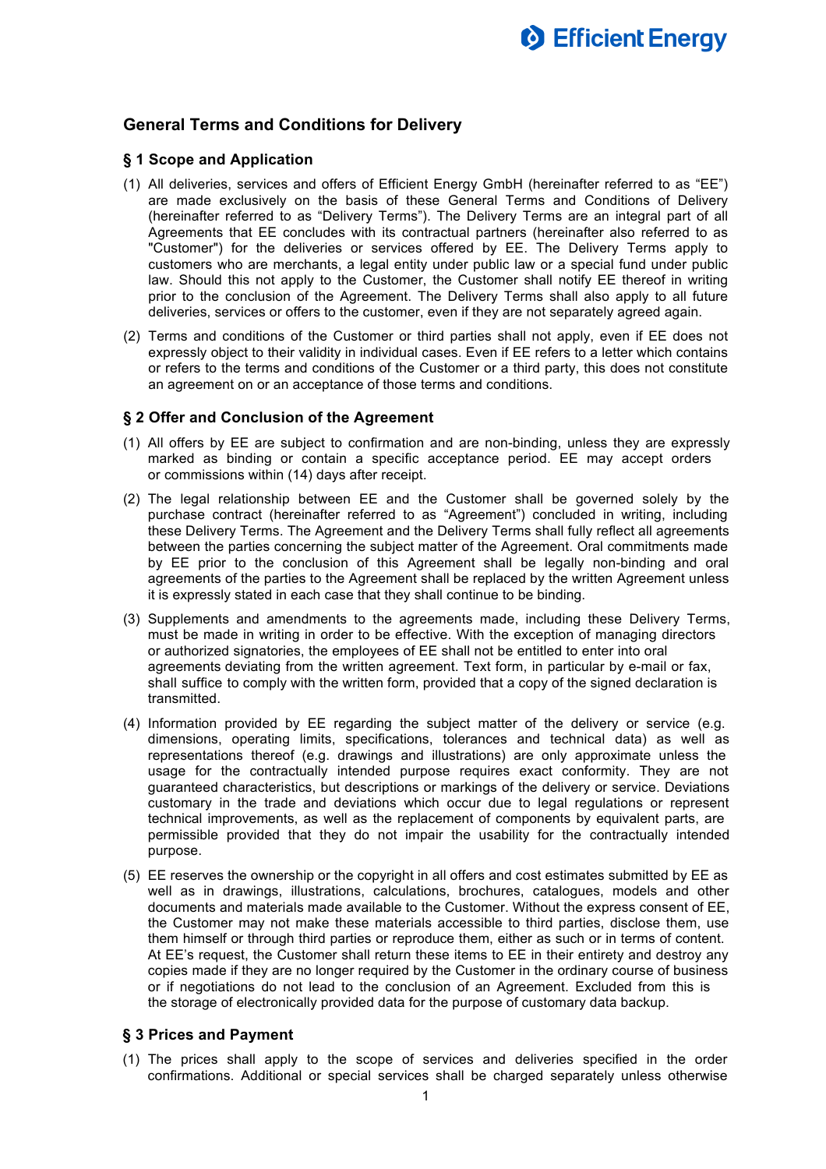

# **General Terms and Conditions for Delivery**

#### **§ 1 Scope and Application**

- (1) All deliveries, services and offers of Efficient Energy GmbH (hereinafter referred to as "EE") are made exclusively on the basis of these General Terms and Conditions of Delivery (hereinafter referred to as "Delivery Terms"). The Delivery Terms are an integral part of all Agreements that EE concludes with its contractual partners (hereinafter also referred to as "Customer") for the deliveries or services offered by EE. The Delivery Terms apply to customers who are merchants, a legal entity under public law or a special fund under public law. Should this not apply to the Customer, the Customer shall notify EE thereof in writing prior to the conclusion of the Agreement. The Delivery Terms shall also apply to all future deliveries, services or offers to the customer, even if they are not separately agreed again.
- (2) Terms and conditions of the Customer or third parties shall not apply, even if EE does not expressly object to their validity in individual cases. Even if EE refers to a letter which contains or refers to the terms and conditions of the Customer or a third party, this does not constitute an agreement on or an acceptance of those terms and conditions.

#### **§ 2 Offer and Conclusion of the Agreement**

- (1) All offers by EE are subject to confirmation and are non-binding, unless they are expressly marked as binding or contain a specific acceptance period. EE may accept orders or commissions within (14) days after receipt.
- (2) The legal relationship between EE and the Customer shall be governed solely by the purchase contract (hereinafter referred to as "Agreement") concluded in writing, including these Delivery Terms. The Agreement and the Delivery Terms shall fully reflect all agreements between the parties concerning the subject matter of the Agreement. Oral commitments made by EE prior to the conclusion of this Agreement shall be legally non-binding and oral agreements of the parties to the Agreement shall be replaced by the written Agreement unless it is expressly stated in each case that they shall continue to be binding.
- (3) Supplements and amendments to the agreements made, including these Delivery Terms, must be made in writing in order to be effective. With the exception of managing directors or authorized signatories, the employees of EE shall not be entitled to enter into oral agreements deviating from the written agreement. Text form, in particular by e-mail or fax, shall suffice to comply with the written form, provided that a copy of the signed declaration is transmitted.
- (4) Information provided by EE regarding the subject matter of the delivery or service (e.g. dimensions, operating limits, specifications, tolerances and technical data) as well as representations thereof (e.g. drawings and illustrations) are only approximate unless the usage for the contractually intended purpose requires exact conformity. They are not guaranteed characteristics, but descriptions or markings of the delivery or service. Deviations customary in the trade and deviations which occur due to legal regulations or represent technical improvements, as well as the replacement of components by equivalent parts, are permissible provided that they do not impair the usability for the contractually intended purpose.
- (5) EE reserves the ownership or the copyright in all offers and cost estimates submitted by EE as well as in drawings, illustrations, calculations, brochures, catalogues, models and other documents and materials made available to the Customer. Without the express consent of EE, the Customer may not make these materials accessible to third parties, disclose them, use them himself or through third parties or reproduce them, either as such or in terms of content. At EE's request, the Customer shall return these items to EE in their entirety and destroy any copies made if they are no longer required by the Customer in the ordinary course of business or if negotiations do not lead to the conclusion of an Agreement. Excluded from this is the storage of electronically provided data for the purpose of customary data backup.

#### **§ 3 Prices and Payment**

(1) The prices shall apply to the scope of services and deliveries specified in the order confirmations. Additional or special services shall be charged separately unless otherwise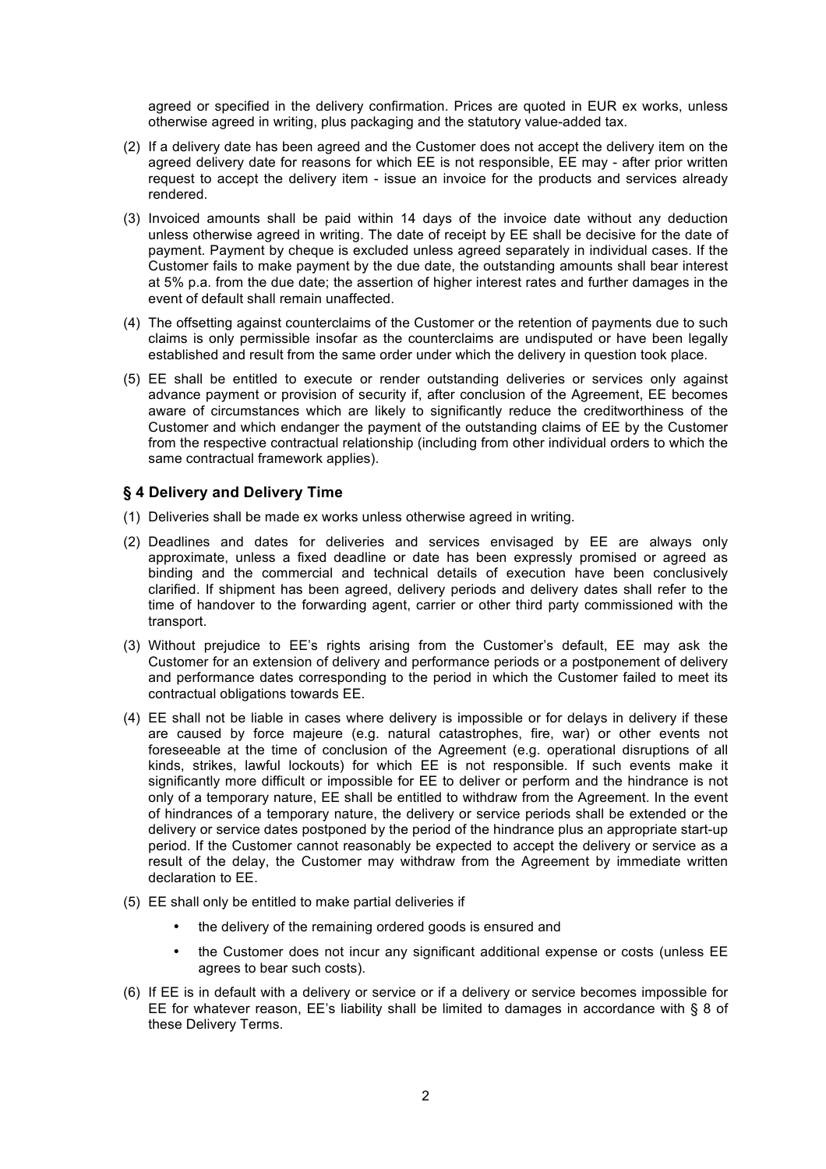agreed or specified in the delivery confirmation. Prices are quoted in EUR ex works, unless otherwise agreed in writing, plus packaging and the statutory value-added tax.

- (2) If a delivery date has been agreed and the Customer does not accept the delivery item on the agreed delivery date for reasons for which EE is not responsible, EE may - after prior written request to accept the delivery item - issue an invoice for the products and services already rendered.
- (3) Invoiced amounts shall be paid within 14 days of the invoice date without any deduction unless otherwise agreed in writing. The date of receipt by EE shall be decisive for the date of payment. Payment by cheque is excluded unless agreed separately in individual cases. If the Customer fails to make payment by the due date, the outstanding amounts shall bear interest at 5% p.a. from the due date; the assertion of higher interest rates and further damages in the event of default shall remain unaffected.
- (4) The offsetting against counterclaims of the Customer or the retention of payments due to such claims is only permissible insofar as the counterclaims are undisputed or have been legally established and result from the same order under which the delivery in question took place.
- (5) EE shall be entitled to execute or render outstanding deliveries or services only against advance payment or provision of security if, after conclusion of the Agreement, EE becomes aware of circumstances which are likely to significantly reduce the creditworthiness of the Customer and which endanger the payment of the outstanding claims of EE by the Customer from the respective contractual relationship (including from other individual orders to which the same contractual framework applies).

## **§ 4 Delivery and Delivery Time**

- (1) Deliveries shall be made ex works unless otherwise agreed in writing.
- (2) Deadlines and dates for deliveries and services envisaged by EE are always only approximate, unless a fixed deadline or date has been expressly promised or agreed as binding and the commercial and technical details of execution have been conclusively clarified. If shipment has been agreed, delivery periods and delivery dates shall refer to the time of handover to the forwarding agent, carrier or other third party commissioned with the transport.
- (3) Without prejudice to EE's rights arising from the Customer's default, EE may ask the Customer for an extension of delivery and performance periods or a postponement of delivery and performance dates corresponding to the period in which the Customer failed to meet its contractual obligations towards EE.
- (4) EE shall not be liable in cases where delivery is impossible or for delays in delivery if these are caused by force majeure (e.g. natural catastrophes, fire, war) or other events not foreseeable at the time of conclusion of the Agreement (e.g. operational disruptions of all kinds, strikes, lawful lockouts) for which EE is not responsible. If such events make it significantly more difficult or impossible for EE to deliver or perform and the hindrance is not only of a temporary nature, EE shall be entitled to withdraw from the Agreement. In the event of hindrances of a temporary nature, the delivery or service periods shall be extended or the delivery or service dates postponed by the period of the hindrance plus an appropriate start-up period. If the Customer cannot reasonably be expected to accept the delivery or service as a result of the delay, the Customer may withdraw from the Agreement by immediate written declaration to EE.
- (5) EE shall only be entitled to make partial deliveries if
	- the delivery of the remaining ordered goods is ensured and
	- the Customer does not incur any significant additional expense or costs (unless EE agrees to bear such costs).
- (6) If EE is in default with a delivery or service or if a delivery or service becomes impossible for EE for whatever reason, EE's liability shall be limited to damages in accordance with § 8 of these Delivery Terms.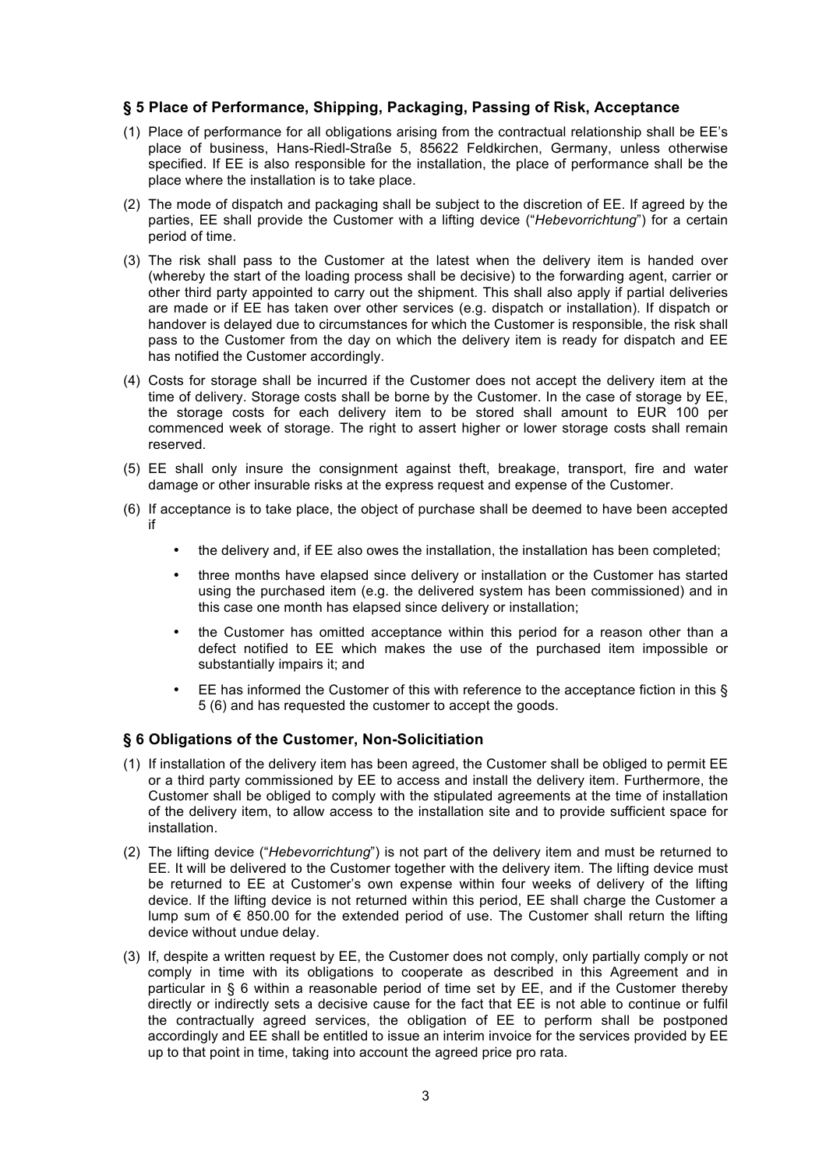## **§ 5 Place of Performance, Shipping, Packaging, Passing of Risk, Acceptance**

- (1) Place of performance for all obligations arising from the contractual relationship shall be EE's place of business, Hans-Riedl-Straße 5, 85622 Feldkirchen, Germany, unless otherwise specified. If EE is also responsible for the installation, the place of performance shall be the place where the installation is to take place.
- (2) The mode of dispatch and packaging shall be subject to the discretion of EE. If agreed by the parties, EE shall provide the Customer with a lifting device ("*Hebevorrichtung*") for a certain period of time.
- (3) The risk shall pass to the Customer at the latest when the delivery item is handed over (whereby the start of the loading process shall be decisive) to the forwarding agent, carrier or other third party appointed to carry out the shipment. This shall also apply if partial deliveries are made or if EE has taken over other services (e.g. dispatch or installation). If dispatch or handover is delayed due to circumstances for which the Customer is responsible, the risk shall pass to the Customer from the day on which the delivery item is ready for dispatch and EE has notified the Customer accordingly.
- (4) Costs for storage shall be incurred if the Customer does not accept the delivery item at the time of delivery. Storage costs shall be borne by the Customer. In the case of storage by EE, the storage costs for each delivery item to be stored shall amount to EUR 100 per commenced week of storage. The right to assert higher or lower storage costs shall remain reserved.
- (5) EE shall only insure the consignment against theft, breakage, transport, fire and water damage or other insurable risks at the express request and expense of the Customer.
- (6) If acceptance is to take place, the object of purchase shall be deemed to have been accepted if
	- the delivery and, if EE also owes the installation, the installation has been completed;
	- three months have elapsed since delivery or installation or the Customer has started using the purchased item (e.g. the delivered system has been commissioned) and in this case one month has elapsed since delivery or installation;
	- the Customer has omitted acceptance within this period for a reason other than a defect notified to EE which makes the use of the purchased item impossible or substantially impairs it; and
	- EE has informed the Customer of this with reference to the acceptance fiction in this  $\S$ 5 (6) and has requested the customer to accept the goods.

### **§ 6 Obligations of the Customer, Non-Solicitiation**

- (1) If installation of the delivery item has been agreed, the Customer shall be obliged to permit EE or a third party commissioned by EE to access and install the delivery item. Furthermore, the Customer shall be obliged to comply with the stipulated agreements at the time of installation of the delivery item, to allow access to the installation site and to provide sufficient space for installation.
- (2) The lifting device ("*Hebevorrichtung*") is not part of the delivery item and must be returned to EE. It will be delivered to the Customer together with the delivery item. The lifting device must be returned to EE at Customer's own expense within four weeks of delivery of the lifting device. If the lifting device is not returned within this period, EE shall charge the Customer a lump sum of € 850.00 for the extended period of use. The Customer shall return the lifting device without undue delay.
- (3) If, despite a written request by EE, the Customer does not comply, only partially comply or not comply in time with its obligations to cooperate as described in this Agreement and in particular in § 6 within a reasonable period of time set by EE, and if the Customer thereby directly or indirectly sets a decisive cause for the fact that EE is not able to continue or fulfil the contractually agreed services, the obligation of EE to perform shall be postponed accordingly and EE shall be entitled to issue an interim invoice for the services provided by EE up to that point in time, taking into account the agreed price pro rata.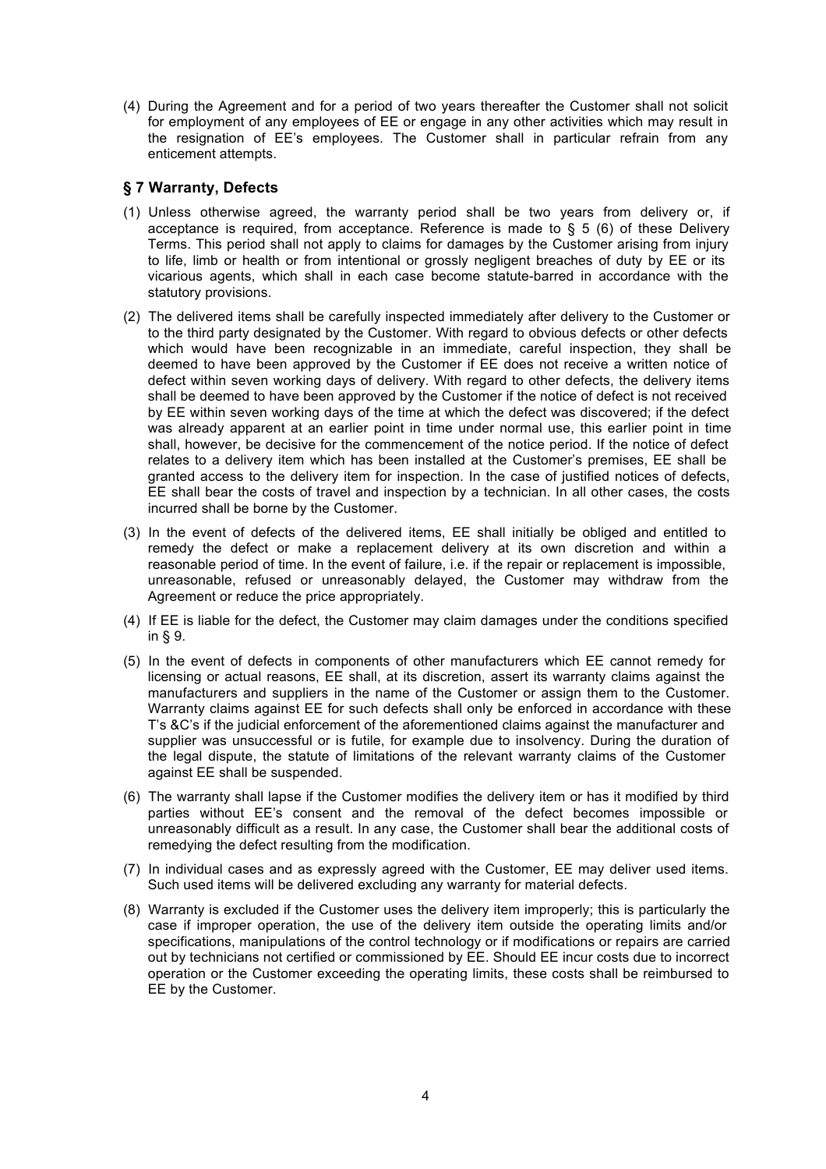(4) During the Agreement and for a period of two years thereafter the Customer shall not solicit for employment of any employees of EE or engage in any other activities which may result in the resignation of EE's employees. The Customer shall in particular refrain from any enticement attempts.

# **§ 7 Warranty, Defects**

- (1) Unless otherwise agreed, the warranty period shall be two years from delivery or, if acceptance is required, from acceptance. Reference is made to  $\S$  5 (6) of these Delivery Terms. This period shall not apply to claims for damages by the Customer arising from injury to life, limb or health or from intentional or grossly negligent breaches of duty by EE or its vicarious agents, which shall in each case become statute-barred in accordance with the statutory provisions.
- (2) The delivered items shall be carefully inspected immediately after delivery to the Customer or to the third party designated by the Customer. With regard to obvious defects or other defects which would have been recognizable in an immediate, careful inspection, they shall be deemed to have been approved by the Customer if EE does not receive a written notice of defect within seven working days of delivery. With regard to other defects, the delivery items shall be deemed to have been approved by the Customer if the notice of defect is not received by EE within seven working days of the time at which the defect was discovered; if the defect was already apparent at an earlier point in time under normal use, this earlier point in time shall, however, be decisive for the commencement of the notice period. If the notice of defect relates to a delivery item which has been installed at the Customer's premises, EE shall be granted access to the delivery item for inspection. In the case of justified notices of defects, EE shall bear the costs of travel and inspection by a technician. In all other cases, the costs incurred shall be borne by the Customer.
- (3) In the event of defects of the delivered items, EE shall initially be obliged and entitled to remedy the defect or make a replacement delivery at its own discretion and within a reasonable period of time. In the event of failure, i.e. if the repair or replacement is impossible, unreasonable, refused or unreasonably delayed, the Customer may withdraw from the Agreement or reduce the price appropriately.
- (4) If EE is liable for the defect, the Customer may claim damages under the conditions specified in § 9.
- (5) In the event of defects in components of other manufacturers which EE cannot remedy for licensing or actual reasons, EE shall, at its discretion, assert its warranty claims against the manufacturers and suppliers in the name of the Customer or assign them to the Customer. Warranty claims against EE for such defects shall only be enforced in accordance with these T's &C's if the judicial enforcement of the aforementioned claims against the manufacturer and supplier was unsuccessful or is futile, for example due to insolvency. During the duration of the legal dispute, the statute of limitations of the relevant warranty claims of the Customer against EE shall be suspended.
- (6) The warranty shall lapse if the Customer modifies the delivery item or has it modified by third parties without EE's consent and the removal of the defect becomes impossible or unreasonably difficult as a result. In any case, the Customer shall bear the additional costs of remedying the defect resulting from the modification.
- (7) In individual cases and as expressly agreed with the Customer, EE may deliver used items. Such used items will be delivered excluding any warranty for material defects.
- (8) Warranty is excluded if the Customer uses the delivery item improperly; this is particularly the case if improper operation, the use of the delivery item outside the operating limits and/or specifications, manipulations of the control technology or if modifications or repairs are carried out by technicians not certified or commissioned by EE. Should EE incur costs due to incorrect operation or the Customer exceeding the operating limits, these costs shall be reimbursed to EE by the Customer.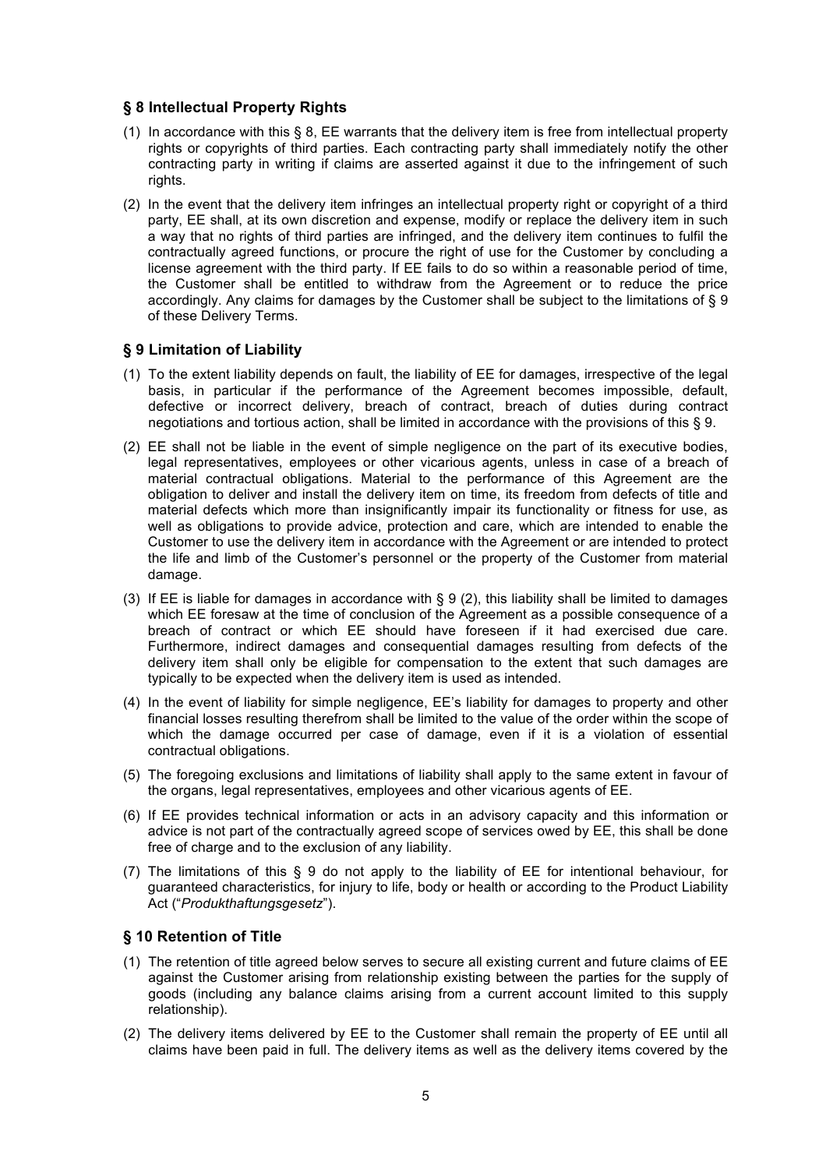## **§ 8 Intellectual Property Rights**

- (1) In accordance with this § 8, EE warrants that the delivery item is free from intellectual property rights or copyrights of third parties. Each contracting party shall immediately notify the other contracting party in writing if claims are asserted against it due to the infringement of such rights.
- (2) In the event that the delivery item infringes an intellectual property right or copyright of a third party, EE shall, at its own discretion and expense, modify or replace the delivery item in such a way that no rights of third parties are infringed, and the delivery item continues to fulfil the contractually agreed functions, or procure the right of use for the Customer by concluding a license agreement with the third party. If EE fails to do so within a reasonable period of time, the Customer shall be entitled to withdraw from the Agreement or to reduce the price accordingly. Any claims for damages by the Customer shall be subject to the limitations of § 9 of these Delivery Terms.

## **§ 9 Limitation of Liability**

- (1) To the extent liability depends on fault, the liability of EE for damages, irrespective of the legal basis, in particular if the performance of the Agreement becomes impossible, default, defective or incorrect delivery, breach of contract, breach of duties during contract negotiations and tortious action, shall be limited in accordance with the provisions of this § 9.
- (2) EE shall not be liable in the event of simple negligence on the part of its executive bodies, legal representatives, employees or other vicarious agents, unless in case of a breach of material contractual obligations. Material to the performance of this Agreement are the obligation to deliver and install the delivery item on time, its freedom from defects of title and material defects which more than insignificantly impair its functionality or fitness for use, as well as obligations to provide advice, protection and care, which are intended to enable the Customer to use the delivery item in accordance with the Agreement or are intended to protect the life and limb of the Customer's personnel or the property of the Customer from material damage.
- (3) If EE is liable for damages in accordance with § 9 (2), this liability shall be limited to damages which EE foresaw at the time of conclusion of the Agreement as a possible consequence of a breach of contract or which EE should have foreseen if it had exercised due care. Furthermore, indirect damages and consequential damages resulting from defects of the delivery item shall only be eligible for compensation to the extent that such damages are typically to be expected when the delivery item is used as intended.
- (4) In the event of liability for simple negligence, EE's liability for damages to property and other financial losses resulting therefrom shall be limited to the value of the order within the scope of which the damage occurred per case of damage, even if it is a violation of essential contractual obligations.
- (5) The foregoing exclusions and limitations of liability shall apply to the same extent in favour of the organs, legal representatives, employees and other vicarious agents of EE.
- (6) If EE provides technical information or acts in an advisory capacity and this information or advice is not part of the contractually agreed scope of services owed by EE, this shall be done free of charge and to the exclusion of any liability.
- (7) The limitations of this § 9 do not apply to the liability of EE for intentional behaviour, for guaranteed characteristics, for injury to life, body or health or according to the Product Liability Act ("*Produkthaftungsgesetz*").

### **§ 10 Retention of Title**

- (1) The retention of title agreed below serves to secure all existing current and future claims of EE against the Customer arising from relationship existing between the parties for the supply of goods (including any balance claims arising from a current account limited to this supply relationship).
- (2) The delivery items delivered by EE to the Customer shall remain the property of EE until all claims have been paid in full. The delivery items as well as the delivery items covered by the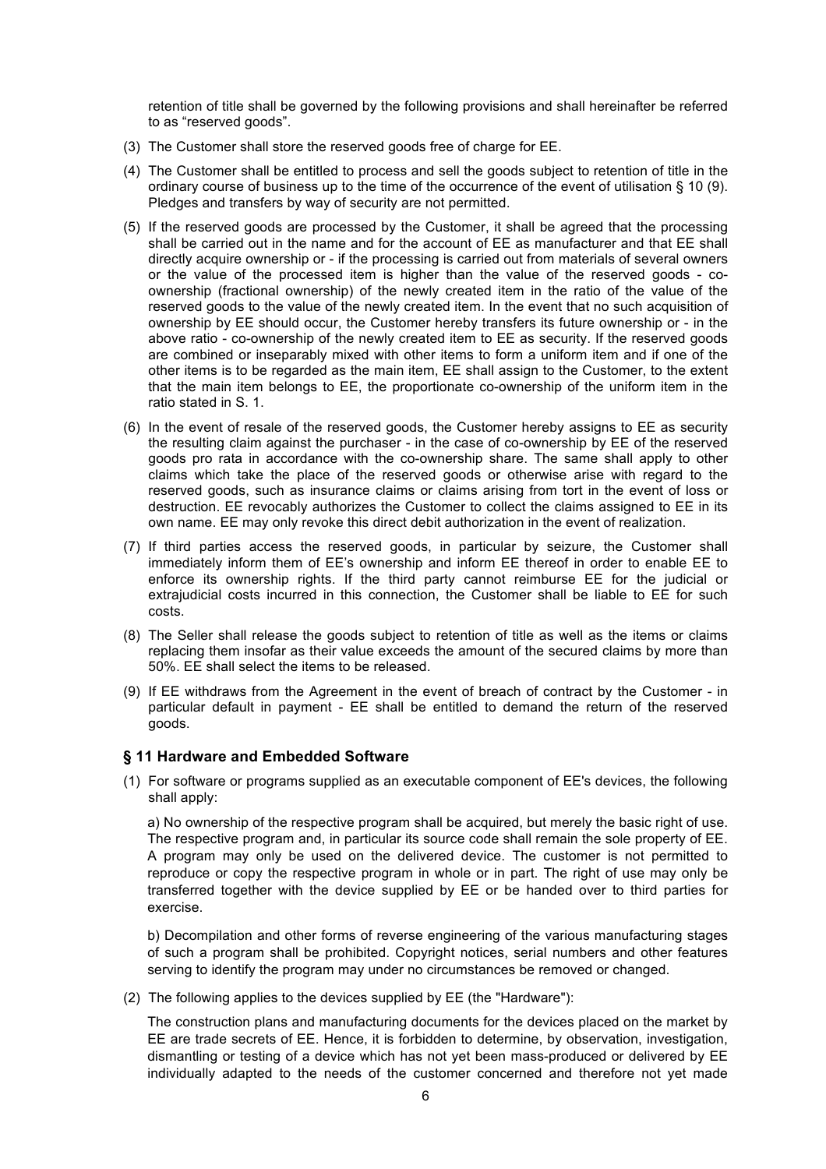retention of title shall be governed by the following provisions and shall hereinafter be referred to as "reserved goods".

- (3) The Customer shall store the reserved goods free of charge for EE.
- (4) The Customer shall be entitled to process and sell the goods subject to retention of title in the ordinary course of business up to the time of the occurrence of the event of utilisation § 10 (9). Pledges and transfers by way of security are not permitted.
- (5) If the reserved goods are processed by the Customer, it shall be agreed that the processing shall be carried out in the name and for the account of EE as manufacturer and that EE shall directly acquire ownership or - if the processing is carried out from materials of several owners or the value of the processed item is higher than the value of the reserved goods - coownership (fractional ownership) of the newly created item in the ratio of the value of the reserved goods to the value of the newly created item. In the event that no such acquisition of ownership by EE should occur, the Customer hereby transfers its future ownership or - in the above ratio - co-ownership of the newly created item to EE as security. If the reserved goods are combined or inseparably mixed with other items to form a uniform item and if one of the other items is to be regarded as the main item, EE shall assign to the Customer, to the extent that the main item belongs to EE, the proportionate co-ownership of the uniform item in the ratio stated in S. 1.
- (6) In the event of resale of the reserved goods, the Customer hereby assigns to EE as security the resulting claim against the purchaser - in the case of co-ownership by EE of the reserved goods pro rata in accordance with the co-ownership share. The same shall apply to other claims which take the place of the reserved goods or otherwise arise with regard to the reserved goods, such as insurance claims or claims arising from tort in the event of loss or destruction. EE revocably authorizes the Customer to collect the claims assigned to EE in its own name. EE may only revoke this direct debit authorization in the event of realization.
- (7) If third parties access the reserved goods, in particular by seizure, the Customer shall immediately inform them of EE's ownership and inform EE thereof in order to enable EE to enforce its ownership rights. If the third party cannot reimburse EE for the judicial or extrajudicial costs incurred in this connection, the Customer shall be liable to EE for such costs.
- (8) The Seller shall release the goods subject to retention of title as well as the items or claims replacing them insofar as their value exceeds the amount of the secured claims by more than 50%. EE shall select the items to be released.
- (9) If EE withdraws from the Agreement in the event of breach of contract by the Customer in particular default in payment - EE shall be entitled to demand the return of the reserved goods.

### **§ 11 Hardware and Embedded Software**

(1) For software or programs supplied as an executable component of EE's devices, the following shall apply:

a) No ownership of the respective program shall be acquired, but merely the basic right of use. The respective program and, in particular its source code shall remain the sole property of EE. A program may only be used on the delivered device. The customer is not permitted to reproduce or copy the respective program in whole or in part. The right of use may only be transferred together with the device supplied by EE or be handed over to third parties for exercise.

b) Decompilation and other forms of reverse engineering of the various manufacturing stages of such a program shall be prohibited. Copyright notices, serial numbers and other features serving to identify the program may under no circumstances be removed or changed.

(2) The following applies to the devices supplied by EE (the "Hardware"):

The construction plans and manufacturing documents for the devices placed on the market by EE are trade secrets of EE. Hence, it is forbidden to determine, by observation, investigation, dismantling or testing of a device which has not yet been mass-produced or delivered by EE individually adapted to the needs of the customer concerned and therefore not yet made